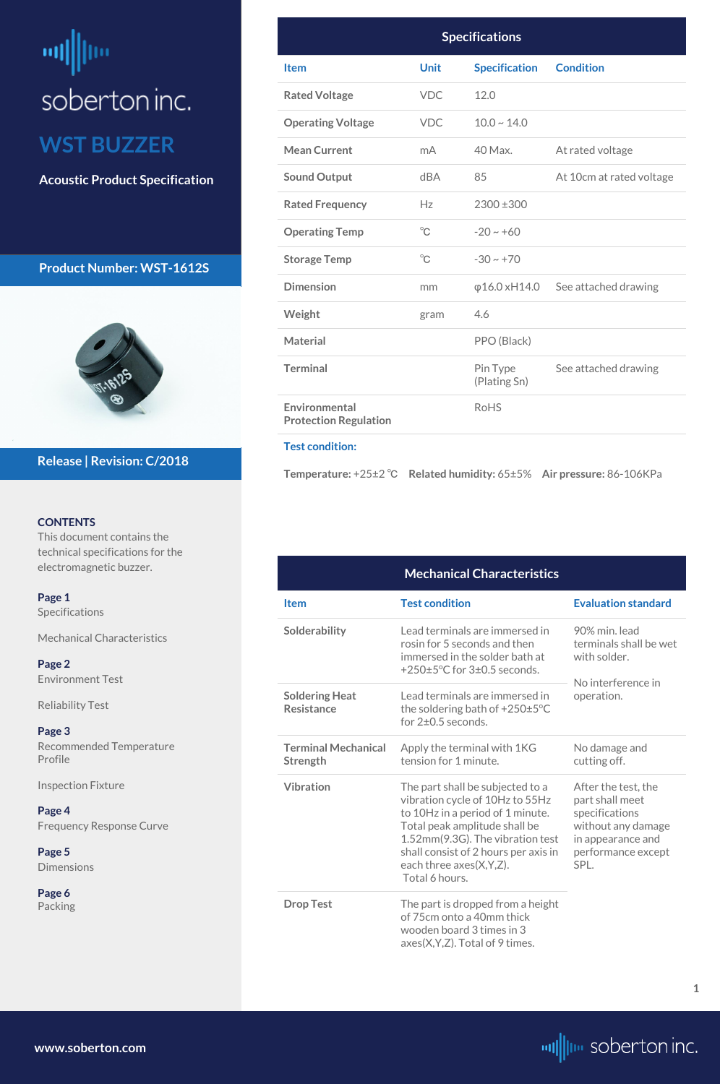# <span id="page-0-0"></span>뻬 soberton inc. **WST BUZZER**

**Acoustic Product Specification**

# **Product Number: WST-1612S**



#### **CONTENTS**

This document contains the technical specifications for the electromagnetic buzzer.

**Page 1** Specifications

Mechanical Characteristics

**[Page 2](#page--1-0)** [Environment Test](#page-1-0)

[Reliability Test](#page-1-0)

**[Page 3](#page-2-0)** [Recommended Temperature](#page-2-0)  [Profile](#page-2-0)

Inspection Fixture

**[Page 4](#page-3-0)**

#### [Frequency Response Curve](#page-3-0)

# **[Page](#page-4-0) 5**

[Dimensions](#page-4-0)

**[Page](#page-5-0) 6** [Packing](#page-5-0)

## **Release | Revision: C/2018**

**[www.soberton.com](http://www.soberton.com)**



**1**

| <b>Specifications</b>                         |              |                          |                                            |
|-----------------------------------------------|--------------|--------------------------|--------------------------------------------|
| <b>Item</b>                                   | <b>Unit</b>  | <b>Specification</b>     | <b>Condition</b>                           |
| <b>Rated Voltage</b>                          | <b>VDC</b>   | 12.0                     |                                            |
| <b>Operating Voltage</b>                      | <b>VDC</b>   | $10.0 \sim 14.0$         |                                            |
| <b>Mean Current</b>                           | mA           | 40 Max.                  | At rated voltage                           |
| <b>Sound Output</b>                           | dBA          | 85                       | At 10cm at rated voltage                   |
| <b>Rated Frequency</b>                        | Hz           | 2300 ±300                |                                            |
| <b>Operating Temp</b>                         | $^{\circ}$ C | $-20 \sim +60$           |                                            |
| <b>Storage Temp</b>                           | $^{\circ}C$  | $-30 \sim +70$           |                                            |
| <b>Dimension</b>                              | mm           |                          | $\varphi$ 16.0 xH14.0 See attached drawing |
| Weight                                        | gram         | 4.6                      |                                            |
| <b>Material</b>                               |              | PPO (Black)              |                                            |
| <b>Terminal</b>                               |              | Pin Type<br>(Plating Sn) | See attached drawing                       |
| Environmental<br><b>Protection Regulation</b> |              | <b>RoHS</b>              |                                            |

#### **Test condition:**

**Temperature:** +25±2 ℃ **Related humidity:** 65±5% **Air pressure:** 86-106KPa

**Drop Test** The part is dropped from a height of 75cm onto a 40mm thick wooden board 3 times in 3 axes(X,Y,Z). Total of 9 times.

|                                            | <b>Mechanical Characteristics</b>                                                                                                        |                                                                                |  |
|--------------------------------------------|------------------------------------------------------------------------------------------------------------------------------------------|--------------------------------------------------------------------------------|--|
| <b>Item</b>                                | <b>Test condition</b>                                                                                                                    | <b>Evaluation standard</b>                                                     |  |
| Solderability                              | Lead terminals are immersed in<br>rosin for 5 seconds and then<br>immersed in the solder bath at<br>+250±5°C for 3±0.5 seconds.          | 90% min. lead<br>terminals shall be wet<br>with solder.<br>No interference in  |  |
| <b>Soldering Heat</b><br><b>Resistance</b> | Lead terminals are immersed in<br>the soldering bath of $+250\pm5\degree C$<br>for $2\pm0.5$ seconds.                                    | operation.                                                                     |  |
| <b>Terminal Mechanical</b><br>Strength     | Apply the terminal with 1KG<br>tension for 1 minute.                                                                                     | No damage and<br>cutting off.                                                  |  |
| <b>Vibration</b>                           | The part shall be subjected to a<br>vibration cycle of 10Hz to 55Hz<br>to 10Hz in a period of 1 minute.<br>Total peak amplitude shall be | After the test, the<br>part shall meet<br>specifications<br>without any damage |  |

Total peak amplitude shall be 1.52mm(9.3G). The vibration test shall consist of 2 hours per axis in each three axes(X,Y,Z). Total 6 hours.

in appearance and performance except

SPL.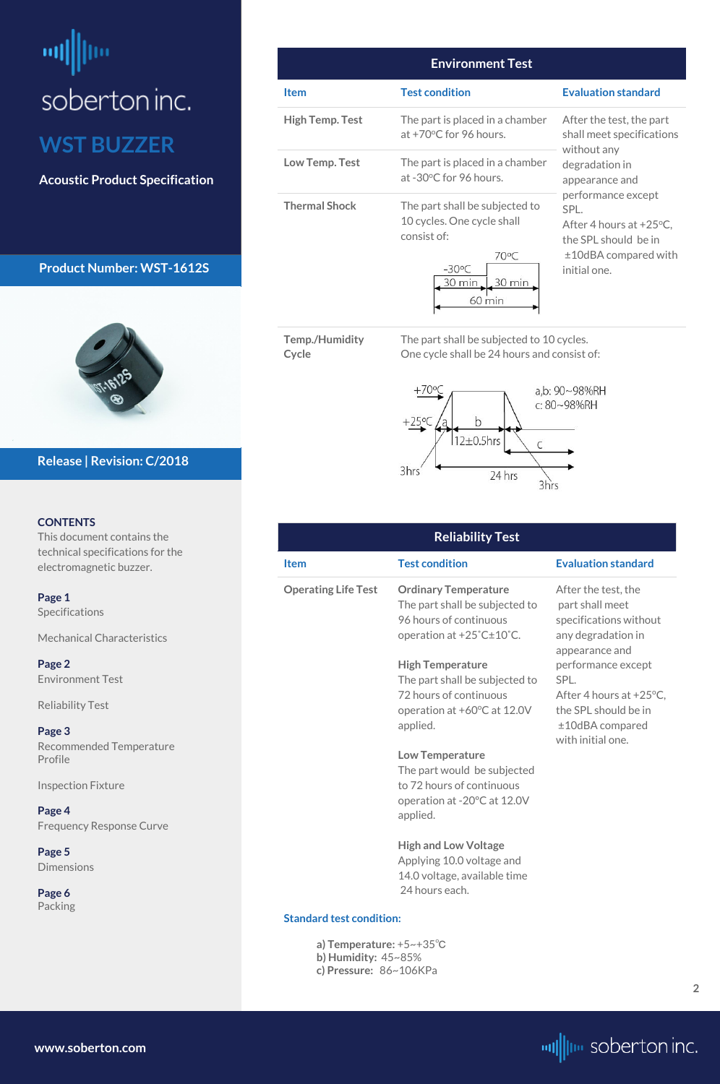# <span id="page-1-0"></span>soberton inc. **WST BUZZER**

**Acoustic Product Specification**

## **Product Number: WST-1612S**



#### **CONTENTS**

This document contains the technical specifications for the electromagnetic buzzer.

**[Page 1](#page-0-0)** [Specifications](#page-0-0) 

[Mechanical Characteristics](#page-0-0)

**Page 2** Environment Test

Reliability Test

**[Page 3](#page-2-0)** [Recommended Temperature](#page-2-0)  [Profile](#page-2-0)

Inspection Fixture

**[Page 4](#page--1-0)**

#### [Frequency Response Curve](#page-3-0)

**[Page](#page-4-0) 5** [Dimensions](#page-4-0)

**[Page](#page-5-0) 6** [Packing](#page-5-0)

## **Release | Revision: C/2018**

**[www.soberton.com](http://www.soberton.com)**



| <b>Environment Test</b> |                                                                                                                                      |                                                                                                                                    |  |
|-------------------------|--------------------------------------------------------------------------------------------------------------------------------------|------------------------------------------------------------------------------------------------------------------------------------|--|
| Item                    | <b>Test condition</b>                                                                                                                | <b>Evaluation standard</b>                                                                                                         |  |
| <b>High Temp. Test</b>  | The part is placed in a chamber<br>at $+70^{\circ}$ C for 96 hours.                                                                  | After the test, the part<br>shall meet specifications<br>without any<br>degradation in<br>appearance and                           |  |
| Low Temp. Test          | The part is placed in a chamber<br>at -30°C for 96 hours.                                                                            |                                                                                                                                    |  |
| <b>Thermal Shock</b>    | The part shall be subjected to<br>10 cycles. One cycle shall<br>consist of:<br>70°C<br>$-30^{\circ}$ C<br>30 min<br>30 min<br>60 min | performance except<br>SPL.<br>After 4 hours at $+25^{\circ}$ C,<br>the SPL should be in<br>$±10$ dBA compared with<br>initial one. |  |

**Temp./Humidity Cycle**

The part shall be subjected to 10 cycles. One cycle shall be 24 hours and consist of:



#### **Reliability Test Item Test condition Evaluation standard Operating Life Test Ordinary Temperature** The part shall be subjected to 96 hours of continuous operation at +25˚C±10˚C. **High Temperature** The part shall be subjected to 72 hours of continuous operation at +60°C at 12.0V applied. **Low Temperature** The part would be subjected to 72 hours of continuous operation at -20ºC at 12.0V After the test, the part shall meet specifications without any degradation in appearance and performance except SPL. After 4 hours at  $+25^{\circ}$ C, the SPL should be in ±10dBA compared with initial one.

applied.

**High and Low Voltage** Applying 10.0 voltage and 14.0 voltage, available time 24 hours each.

#### **Standard test condition:**

**a) Temperature:** +5~+35℃ **b) Humidity:** 45~85% **c) Pressure:** 86~106KPa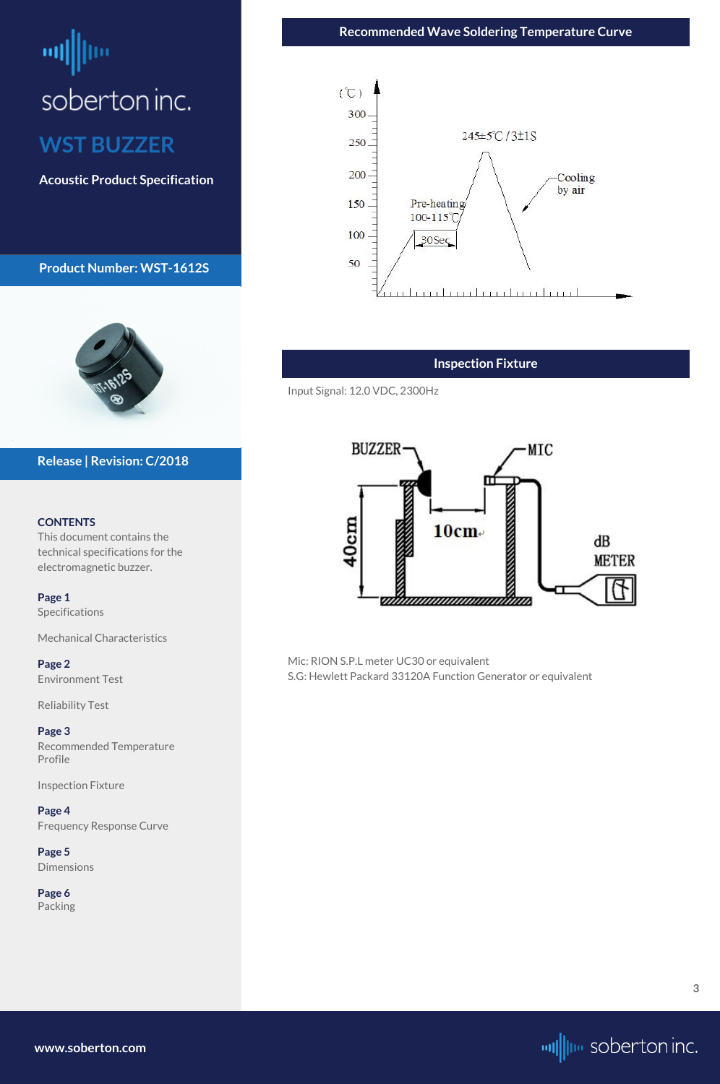# <span id="page-2-0"></span>soberton inc. **WST BUZZER**

**Acoustic Product Specification**

**Product Number: WST-1612S**



#### **CONTENTS**

This document contains the technical specifications for the electromagnetic buzzer.

**[Page 1](#page-0-0)** [Specifications](#page-0-0) 

[Mechanical Characteristics](#page-0-0)

**[Page 2](#page-1-0)** [Environment Test](#page-1-0)

[Reliability Test](#page-1-0)

**Page 3** Recommended Temperature Profile

Inspection Fixture

#### **[Page 4](#page-3-0)**

[Frequency Response Curve](#page-3-0)

# **[Page](#page-4-0) 5**

[Dimensions](#page-4-0)

**[Page](#page-5-0) 6** [Packing](#page-5-0)

**Release | Revision: C/2018**

### **Inspection Fixture**

Input Signal: 12.0 VDC, 2300Hz



Mic: RION S.P.L meter UC30 or equivalent S.G: Hewlett Packard 33120A Function Generator or equivalent

**[www.soberton.com](http://www.soberton.com)**



**Recommended Wave Soldering Temperature Curve**

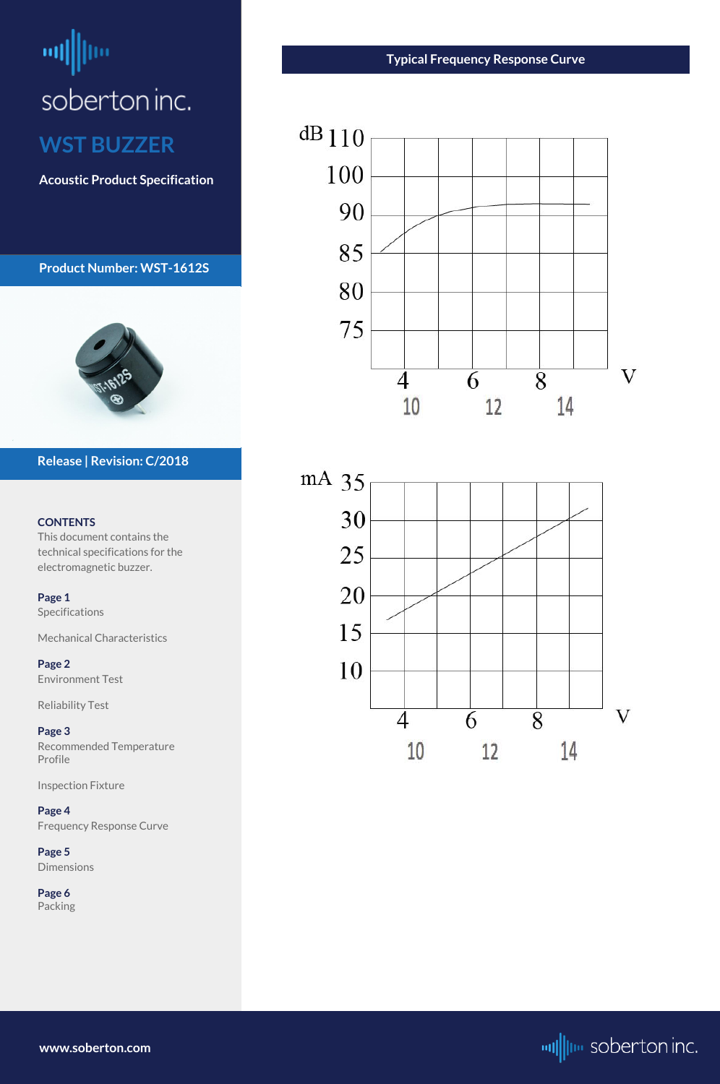# <span id="page-3-0"></span>millim soberton inc. **WST BUZZER**

**Acoustic Product Specification**

**Product Number: WST-1612S**



#### **CONTENTS**

This document contains the technical specifications for the electromagnetic buzzer.

**[Page 1](#page-0-0)** [Specifications](#page-0-0) 

[Mechanical Characteristics](#page-0-0)

**[Page 2](#page-1-0)** [Environment Test](#page-1-0)

[Reliability Test](#page-1-0)

**[Page 3](#page-2-0)** [Recommended Temperature](#page-2-0)  [Profile](#page-2-0)

Inspection Fixture

**Page 4**

Frequency Response Curve

# **[Page](#page-4-0) 5**

[Dimensions](#page-4-0)

**[Page](#page-5-0) 6** [Packing](#page-5-0)

## **Release | Revision: C/2018**

**www.soberton.com**



# **Typical Frequency Response Curve**



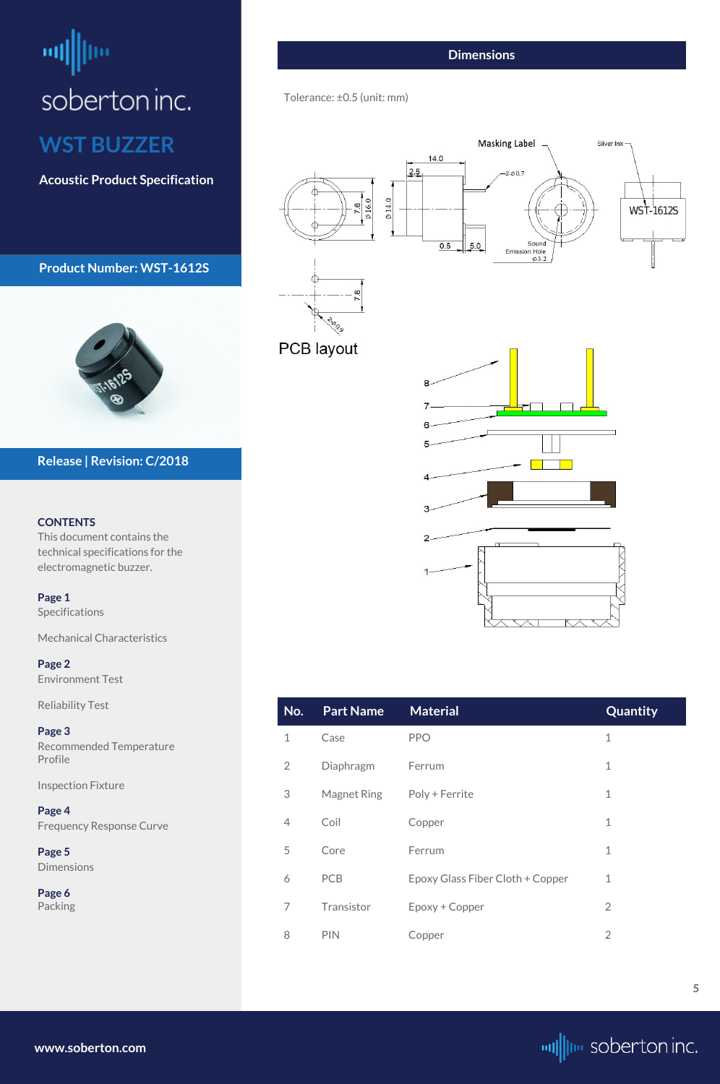# <span id="page-4-0"></span>щļ soberton inc. **WST BUZZER**

**Acoustic Product Specification**

**Product Number: WST-1612S**



#### **CONTENTS**

This document contains the technical specifications for the electromagnetic buzzer.

**[Page 1](#page-0-0)** [Specifications](#page-0-0) 

[Mechanical Characteristics](#page-0-0)

**[Page 2](#page-1-0)** [Environment Test](#page-1-0)

[Reliability Test](#page-1-0)

**[Page 3](#page-2-0)** [Recommended Temperature](#page-2-0)  [Profile](#page-2-0)

Inspection Fixture

**[Page 4](#page-3-0)**

[Frequency Response Curve](#page-3-0)

**Page 5** Dimensions

**[Page](#page-5-0) 6** [Packing](#page-5-0)

**Release | Revision: C/2018**

**[www.soberton.com](http://www.soberton.com)**



| No.            | <b>Part Name</b>   | <b>Material</b>                  | Quantity       |
|----------------|--------------------|----------------------------------|----------------|
| $\mathbf 1$    | Case               | <b>PPO</b>                       | $\mathbf 1$    |
| $\overline{2}$ | Diaphragm          | Ferrum                           | $\mathbf 1$    |
| 3              | <b>Magnet Ring</b> | Poly + Ferrite                   | $\mathbf 1$    |
| 4              | Coil               | Copper                           | $\overline{1}$ |
| 5              | Core               | Ferrum                           | $\mathbf{1}$   |
| 6              | <b>PCB</b>         | Epoxy Glass Fiber Cloth + Copper | $\mathbf{1}$   |
| 7              | Transistor         | Epoxy + Copper                   | $\overline{2}$ |
| 8              | <b>PIN</b>         | Copper                           | $\overline{2}$ |

**5**

## **Dimensions**

Tolerance: ±0.5 (unit: mm)